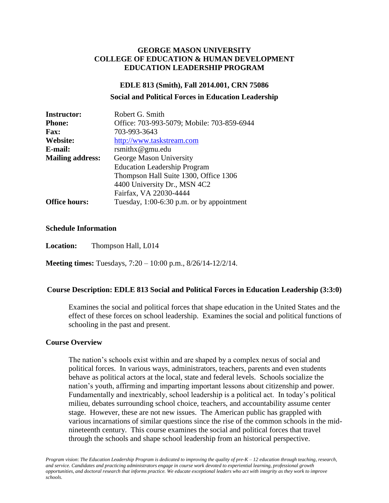### **GEORGE MASON UNIVERSITY COLLEGE OF EDUCATION & HUMAN DEVELOPMENT EDUCATION LEADERSHIP PROGRAM**

### **EDLE 813 (Smith), Fall 2014.001, CRN 75086**

#### **Social and Political Forces in Education Leadership**

| <b>Instructor:</b>      | Robert G. Smith                             |
|-------------------------|---------------------------------------------|
| <b>Phone:</b>           | Office: 703-993-5079; Mobile: 703-859-6944  |
| <b>Fax:</b>             | 703-993-3643                                |
| Website:                | http://www.taskstream.com                   |
| E-mail:                 | rsmithx@gmu.edu                             |
| <b>Mailing address:</b> | George Mason University                     |
|                         | <b>Education Leadership Program</b>         |
|                         | Thompson Hall Suite 1300, Office 1306       |
|                         | 4400 University Dr., MSN 4C2                |
|                         | Fairfax, VA 22030-4444                      |
| <b>Office hours:</b>    | Tuesday, $1:00-6:30$ p.m. or by appointment |

### **Schedule Information**

**Location:** Thompson Hall, L014

**Meeting times:** Tuesdays, 7:20 – 10:00 p.m., 8/26/14-12/2/14.

### **Course Description: EDLE 813 Social and Political Forces in Education Leadership (3:3:0)**

Examines the social and political forces that shape education in the United States and the effect of these forces on school leadership. Examines the social and political functions of schooling in the past and present.

### **Course Overview**

The nation's schools exist within and are shaped by a complex nexus of social and political forces. In various ways, administrators, teachers, parents and even students behave as political actors at the local, state and federal levels. Schools socialize the nation's youth, affirming and imparting important lessons about citizenship and power. Fundamentally and inextricably, school leadership is a political act. In today's political milieu, debates surrounding school choice, teachers, and accountability assume center stage. However, these are not new issues. The American public has grappled with various incarnations of similar questions since the rise of the common schools in the midnineteenth century. This course examines the social and political forces that travel through the schools and shape school leadership from an historical perspective.

*Program vision*: *The Education Leadership Program is dedicated to improving the quality of pre-K – 12 education through teaching, research, and service. Candidates and practicing administrators engage in course work devoted to experiential learning, professional growth opportunities, and doctoral research that informs practice. We educate exceptional leaders who act with integrity as they work to improve schools.*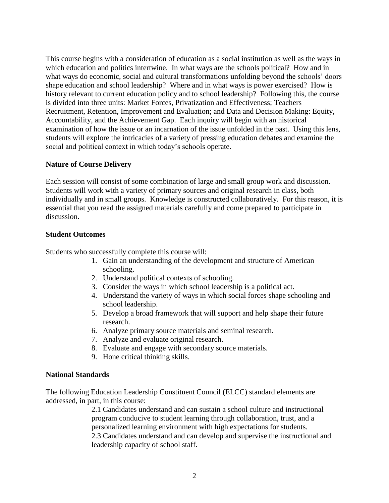This course begins with a consideration of education as a social institution as well as the ways in which education and politics intertwine. In what ways are the schools political? How and in what ways do economic, social and cultural transformations unfolding beyond the schools' doors shape education and school leadership? Where and in what ways is power exercised? How is history relevant to current education policy and to school leadership? Following this, the course is divided into three units: Market Forces, Privatization and Effectiveness; Teachers – Recruitment, Retention, Improvement and Evaluation; and Data and Decision Making: Equity, Accountability, and the Achievement Gap. Each inquiry will begin with an historical examination of how the issue or an incarnation of the issue unfolded in the past. Using this lens, students will explore the intricacies of a variety of pressing education debates and examine the social and political context in which today's schools operate.

### **Nature of Course Delivery**

Each session will consist of some combination of large and small group work and discussion. Students will work with a variety of primary sources and original research in class, both individually and in small groups. Knowledge is constructed collaboratively. For this reason, it is essential that you read the assigned materials carefully and come prepared to participate in discussion.

### **Student Outcomes**

Students who successfully complete this course will:

- 1. Gain an understanding of the development and structure of American schooling.
- 2. Understand political contexts of schooling.
- 3. Consider the ways in which school leadership is a political act.
- 4. Understand the variety of ways in which social forces shape schooling and school leadership.
- 5. Develop a broad framework that will support and help shape their future research.
- 6. Analyze primary source materials and seminal research.
- 7. Analyze and evaluate original research.
- 8. Evaluate and engage with secondary source materials.
- 9. Hone critical thinking skills.

### **National Standards**

The following Education Leadership Constituent Council (ELCC) standard elements are addressed, in part, in this course:

> 2.1 Candidates understand and can sustain a school culture and instructional program conducive to student learning through collaboration, trust, and a personalized learning environment with high expectations for students. 2.3 Candidates understand and can develop and supervise the instructional and leadership capacity of school staff.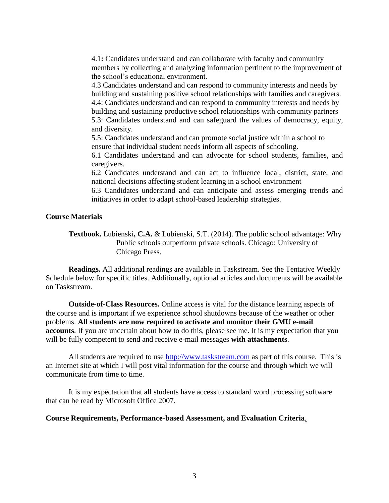4.1**:** Candidates understand and can collaborate with faculty and community members by collecting and analyzing information pertinent to the improvement of the school's educational environment.

4.3 Candidates understand and can respond to community interests and needs by building and sustaining positive school relationships with families and caregivers. 4.4: Candidates understand and can respond to community interests and needs by building and sustaining productive school relationships with community partners 5.3: Candidates understand and can safeguard the values of democracy, equity, and diversity.

5.5: Candidates understand and can promote social justice within a school to ensure that individual student needs inform all aspects of schooling.

6.1 Candidates understand and can advocate for school students, families, and caregivers.

6.2 Candidates understand and can act to influence local, district, state, and national decisions affecting student learning in a school environment

6.3 Candidates understand and can anticipate and assess emerging trends and initiatives in order to adapt school-based leadership strategies.

### **Course Materials**

**Textbook.** Lubienski**, C.A.** & Lubienski, S.T. (2014). The public school advantage: Why Public schools outperform private schools. Chicago: University of Chicago Press.

**Readings.** All additional readings are available in Taskstream. See the Tentative Weekly Schedule below for specific titles. Additionally, optional articles and documents will be available on Taskstream.

**Outside-of-Class Resources.** Online access is vital for the distance learning aspects of the course and is important if we experience school shutdowns because of the weather or other problems. **All students are now required to activate and monitor their GMU e-mail accounts**. If you are uncertain about how to do this, please see me. It is my expectation that you will be fully competent to send and receive e-mail messages **with attachments**.

All students are required to use [http://www.taskstream.com](http://www.taskstream.com/) as part of this course. This is an Internet site at which I will post vital information for the course and through which we will communicate from time to time.

It is my expectation that all students have access to standard word processing software that can be read by Microsoft Office 2007.

### **Course Requirements, Performance-based Assessment, and Evaluation Criteria**.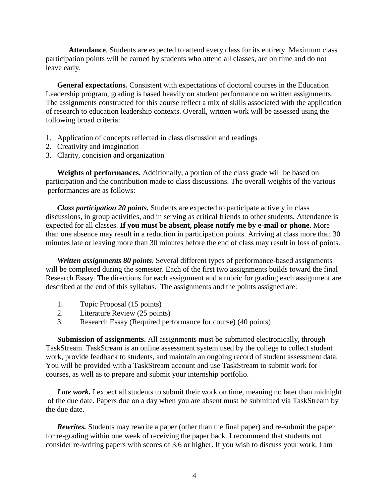**Attendance***.* Students are expected to attend every class for its entirety. Maximum class participation points will be earned by students who attend all classes, are on time and do not leave early.

**General expectations***.* Consistent with expectations of doctoral courses in the Education Leadership program, grading is based heavily on student performance on written assignments. The assignments constructed for this course reflect a mix of skills associated with the application of research to education leadership contexts. Overall, written work will be assessed using the following broad criteria:

- 1. Application of concepts reflected in class discussion and readings
- 2. Creativity and imagination
- 3. Clarity, concision and organization

**Weights of performances.** Additionally, a portion of the class grade will be based on participation and the contribution made to class discussions. The overall weights of the various performances are as follows:

*Class participation 20 points.* Students are expected to participate actively in class discussions, in group activities, and in serving as critical friends to other students. Attendance is expected for all classes. **If you must be absent, please notify me by e-mail or phone.** More than one absence may result in a reduction in participation points. Arriving at class more than 30 minutes late or leaving more than 30 minutes before the end of class may result in loss of points.

*Written assignments 80 points.* Several different types of performance-based assignments will be completed during the semester. Each of the first two assignments builds toward the final Research Essay. The directions for each assignment and a rubric for grading each assignment are described at the end of this syllabus. The assignments and the points assigned are:

- 1. Topic Proposal (15 points)
- 2. Literature Review (25 points)
- 3. Research Essay (Required performance for course) (40 points)

**Submission of assignments.** All assignments must be submitted electronically, through TaskStream. TaskStream is an online assessment system used by the college to collect student work, provide feedback to students, and maintain an ongoing record of student assessment data. You will be provided with a TaskStream account and use TaskStream to submit work for courses, as well as to prepare and submit your internship portfolio.

Late work. I expect all students to submit their work on time, meaning no later than midnight of the due date. Papers due on a day when you are absent must be submitted via TaskStream by the due date.

*Rewrites.* Students may rewrite a paper (other than the final paper) and re-submit the paper for re-grading within one week of receiving the paper back. I recommend that students not consider re-writing papers with scores of 3.6 or higher. If you wish to discuss your work, I am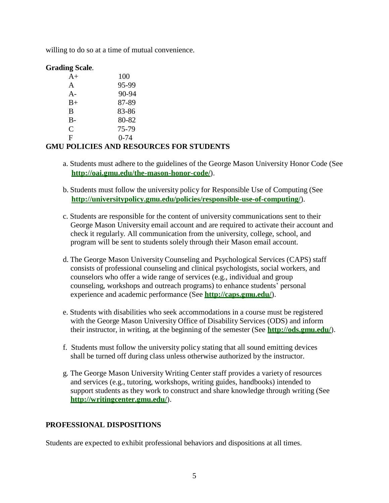willing to do so at a time of mutual convenience.

### **Grading Scale***.*

| $A+$        | 100      |
|-------------|----------|
| A           | 95-99    |
| $A -$       | 90-94    |
| $_{\rm B+}$ | 87-89    |
| B           | 83-86    |
| B-          | 80-82    |
| $\subset$   | 75-79    |
| F           | $0 - 74$ |

## **GMU POLICIES AND RESOURCES FOR STUDENTS**

- a. Students must adhere to the guidelines of the George Mason University Honor Code (See **http://oai.gmu.edu/the-mason-honor-code/**).
- b. Students must follow the university policy for Responsible Use of Computing (See **http://universitypolicy.gmu.edu/policies/responsible-use-of-computing/**).
- c. Students are responsible for the content of university communications sent to their George Mason University email account and are required to activate their account and check it regularly. All communication from the university, college, school, and program will be sent to students solely through their Mason email account.
- d. The George Mason University Counseling and Psychological Services (CAPS) staff consists of professional counseling and clinical psychologists, social workers, and counselors who offer a wide range of services (e.g., individual and group counseling, workshops and outreach programs) to enhance students' personal experience and academic performance (See **<http://caps.gmu.edu/>**).
- e. Students with disabilities who seek accommodations in a course must be registered with the George Mason University Office of Disability Services (ODS) and inform their instructor, in writing, at the beginning of the semester (See **<http://ods.gmu.edu/>**).
- f. Students must follow the university policy stating that all sound emitting devices shall be turned off during class unless otherwise authorized by the instructor.
- g. The George Mason University Writing Center staff provides a variety of resources and services (e.g., tutoring, workshops, writing guides, handbooks) intended to support students as they work to construct and share knowledge through writing (See **<http://writingcenter.gmu.edu/>**).

## **PROFESSIONAL DISPOSITIONS**

Students are expected to exhibit professional behaviors and dispositions at all times.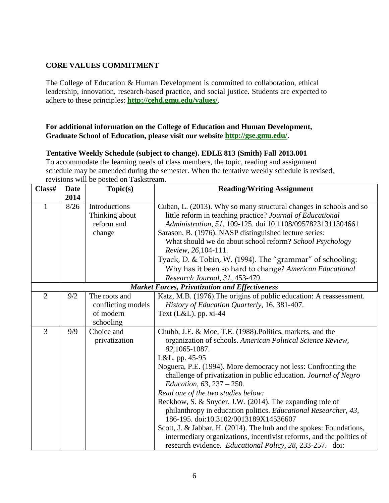## **CORE VALUES COMMITMENT**

The College of Education & Human Development is committed to collaboration, ethical leadership, innovation, research-based practice, and social justice. Students are expected to adhere to these principles: **<http://cehd.gmu.edu/values/>**.

### **For additional information on the College of Education and Human Development, Graduate School of Education, please visit our website <http://gse.gmu.edu/>**.

### **Tentative Weekly Schedule (subject to change). EDLE 813 (Smith) Fall 2013.001**

To accommodate the learning needs of class members, the topic, reading and assignment schedule may be amended during the semester. When the tentative weekly schedule is revised, revisions will be posted on Taskstream.

| Class#         | <b>Date</b> | Topic(s)                                      | <b>Reading/Writing Assignment</b>                                                                                                                                                                                                                                                                                                                                                                                                                                                                                                                                                                                                                                                                                                                         |  |
|----------------|-------------|-----------------------------------------------|-----------------------------------------------------------------------------------------------------------------------------------------------------------------------------------------------------------------------------------------------------------------------------------------------------------------------------------------------------------------------------------------------------------------------------------------------------------------------------------------------------------------------------------------------------------------------------------------------------------------------------------------------------------------------------------------------------------------------------------------------------------|--|
|                | 2014        |                                               |                                                                                                                                                                                                                                                                                                                                                                                                                                                                                                                                                                                                                                                                                                                                                           |  |
| $\mathbf{1}$   | 8/26        | Introductions<br>Thinking about<br>reform and | Cuban, L. (2013). Why so many structural changes in schools and so<br>little reform in teaching practice? Journal of Educational<br>Administration, 51, 109-125. doi 10.1108/09578231311304661                                                                                                                                                                                                                                                                                                                                                                                                                                                                                                                                                            |  |
|                |             | change                                        | Sarason, B. (1976). NASP distinguished lecture series:<br>What should we do about school reform? School Psychology<br>Review, 26, 104-111.                                                                                                                                                                                                                                                                                                                                                                                                                                                                                                                                                                                                                |  |
|                |             |                                               | Tyack, D. & Tobin, W. (1994). The "grammar" of schooling:                                                                                                                                                                                                                                                                                                                                                                                                                                                                                                                                                                                                                                                                                                 |  |
|                |             |                                               | Why has it been so hard to change? American Educational<br>Research Journal, 31, 453-479.                                                                                                                                                                                                                                                                                                                                                                                                                                                                                                                                                                                                                                                                 |  |
|                |             |                                               | <b>Market Forces, Privatization and Effectiveness</b>                                                                                                                                                                                                                                                                                                                                                                                                                                                                                                                                                                                                                                                                                                     |  |
| $\overline{2}$ | 9/2         | The roots and<br>conflicting models           | Katz, M.B. (1976). The origins of public education: A reassessment.<br>History of Education Quarterly, 16, 381-407.                                                                                                                                                                                                                                                                                                                                                                                                                                                                                                                                                                                                                                       |  |
|                |             | of modern<br>schooling                        | Text $(L&L)$ . pp. xi-44                                                                                                                                                                                                                                                                                                                                                                                                                                                                                                                                                                                                                                                                                                                                  |  |
| 3              | 9/9         | Choice and<br>privatization                   | Chubb, J.E. & Moe, T.E. (1988). Politics, markets, and the<br>organization of schools. American Political Science Review,<br>82, 1065-1087.<br>L&L. pp. 45-95<br>Noguera, P.E. (1994). More democracy not less: Confronting the<br>challenge of privatization in public education. Journal of Negro<br>Education, 63, 237 - 250.<br>Read one of the two studies below:<br>Reckhow, S. & Snyder, J.W. (2014). The expanding role of<br>philanthropy in education politics. Educational Researcher, 43,<br>186-195. doi:10.3102/0013189X14536607<br>Scott, J. & Jabbar, H. (2014). The hub and the spokes: Foundations,<br>intermediary organizations, incentivist reforms, and the politics of<br>research evidence. Educational Policy, 28, 233-257. doi: |  |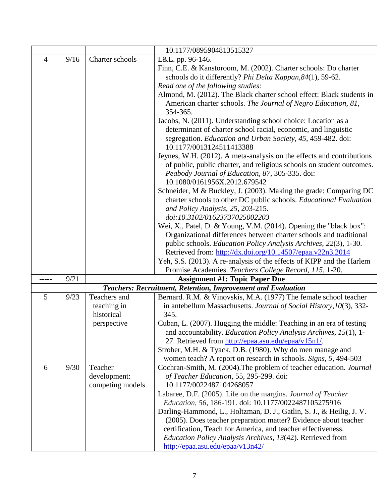|                |      |                           | 10.1177/0895904813515327                                                                                                                                                                                                          |  |  |  |
|----------------|------|---------------------------|-----------------------------------------------------------------------------------------------------------------------------------------------------------------------------------------------------------------------------------|--|--|--|
| $\overline{4}$ | 9/16 | Charter schools           | L&L. pp. 96-146.                                                                                                                                                                                                                  |  |  |  |
|                |      |                           | Finn, C.E. & Kanstoroom, M. (2002). Charter schools: Do charter                                                                                                                                                                   |  |  |  |
|                |      |                           | schools do it differently? Phi Delta Kappan, 84(1), 59-62.                                                                                                                                                                        |  |  |  |
|                |      |                           | Read one of the following studies:                                                                                                                                                                                                |  |  |  |
|                |      |                           | Almond, M. (2012). The Black charter school effect: Black students in                                                                                                                                                             |  |  |  |
|                |      |                           | American charter schools. The Journal of Negro Education, 81,<br>354-365.                                                                                                                                                         |  |  |  |
|                |      |                           | Jacobs, N. (2011). Understanding school choice: Location as a<br>determinant of charter school racial, economic, and linguistic<br>segregation. Education and Urban Society, 45, 459-482. doi:<br>10.1177/0013124511413388        |  |  |  |
|                |      |                           | Jeynes, W.H. (2012). A meta-analysis on the effects and contributions<br>of public, public charter, and religious schools on student outcomes.<br>Peabody Journal of Education, 87, 305-335. doi:<br>10.1080/0161956X.2012.679542 |  |  |  |
|                |      |                           | Schneider, M & Buckley, J. (2003). Making the grade: Comparing DC                                                                                                                                                                 |  |  |  |
|                |      |                           | charter schools to other DC public schools. Educational Evaluation                                                                                                                                                                |  |  |  |
|                |      |                           | and Policy Analysis, 25, 203-215.                                                                                                                                                                                                 |  |  |  |
|                |      |                           | doi:10.3102/01623737025002203                                                                                                                                                                                                     |  |  |  |
|                |      |                           | Wei, X., Patel, D. & Young, V.M. (2014). Opening the "black box":                                                                                                                                                                 |  |  |  |
|                |      |                           | Organizational differences between charter schools and traditional                                                                                                                                                                |  |  |  |
|                |      |                           | public schools. Education Policy Analysis Archives, 22(3), 1-30.                                                                                                                                                                  |  |  |  |
|                |      |                           | Retrieved from: http://dx.doi.org/10.14507/epaa.v22n3.2014                                                                                                                                                                        |  |  |  |
|                |      |                           | Yeh, S.S. (2013). A re-analysis of the effects of KIPP and the Harlem                                                                                                                                                             |  |  |  |
|                |      |                           | Promise Academies. Teachers College Record, 115, 1-20.                                                                                                                                                                            |  |  |  |
|                | 9/21 |                           | <b>Assignment #1: Topic Paper Due</b>                                                                                                                                                                                             |  |  |  |
|                |      |                           | Teachers: Recruitment, Retention, Improvement and Evaluation                                                                                                                                                                      |  |  |  |
| 5              | 9/23 | Teachers and              | Bernard. R.M. & Vinovskis, M.A. (1977) The female school teacher                                                                                                                                                                  |  |  |  |
|                |      | teaching in<br>historical | in antebellum Massachusetts. Journal of Social History, 10(3), 332-<br>345.                                                                                                                                                       |  |  |  |
|                |      | perspective               | Cuban, L. (2007). Hugging the middle: Teaching in an era of testing                                                                                                                                                               |  |  |  |
|                |      |                           | and accountability. <i>Education Policy Analysis Archives</i> , 15(1), 1-                                                                                                                                                         |  |  |  |
|                |      |                           | 27. Retrieved from http://epaa.asu.edu/epaa/v15n1/.                                                                                                                                                                               |  |  |  |
|                |      |                           | Strober, M.H. & Tyack, D.B. (1980). Why do men manage and                                                                                                                                                                         |  |  |  |
|                |      |                           | women teach? A report on research in schools. Signs, 5, 494-503                                                                                                                                                                   |  |  |  |
| 6              | 9/30 | Teacher                   | Cochran-Smith, M. (2004). The problem of teacher education. Journal                                                                                                                                                               |  |  |  |
|                |      | development:              | of Teacher Education, 55, 295-299. doi:                                                                                                                                                                                           |  |  |  |
|                |      | competing models          | 10.1177/0022487104268057                                                                                                                                                                                                          |  |  |  |
|                |      |                           | Labaree, D.F. (2005). Life on the margins. Journal of Teacher                                                                                                                                                                     |  |  |  |
|                |      |                           | Education, 56, 186-191. doi: 10.1177/0022487105275916                                                                                                                                                                             |  |  |  |
|                |      |                           | Darling-Hammond, L., Holtzman, D. J., Gatlin, S. J., & Heilig, J. V.                                                                                                                                                              |  |  |  |
|                |      |                           | (2005). Does teacher preparation matter? Evidence about teacher                                                                                                                                                                   |  |  |  |
|                |      |                           | certification, Teach for America, and teacher effectiveness.                                                                                                                                                                      |  |  |  |
|                |      |                           | Education Policy Analysis Archives, 13(42). Retrieved from                                                                                                                                                                        |  |  |  |
|                |      |                           | http://epaa.asu.edu/epaa/v13n42/                                                                                                                                                                                                  |  |  |  |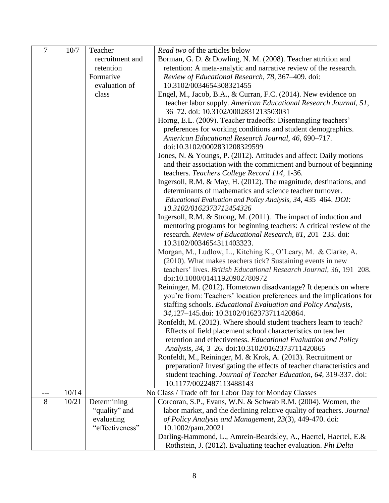| $\overline{7}$ | 10/7  | Teacher                       | Read two of the articles below                                                                                                                                                                                        |  |  |  |
|----------------|-------|-------------------------------|-----------------------------------------------------------------------------------------------------------------------------------------------------------------------------------------------------------------------|--|--|--|
|                |       | recruitment and               | Borman, G. D. & Dowling, N. M. (2008). Teacher attrition and                                                                                                                                                          |  |  |  |
|                |       | retention                     | retention: A meta-analytic and narrative review of the research.                                                                                                                                                      |  |  |  |
|                |       | Formative                     | Review of Educational Research, 78, 367-409. doi:                                                                                                                                                                     |  |  |  |
|                |       | evaluation of                 | 10.3102/0034654308321455                                                                                                                                                                                              |  |  |  |
|                |       | class                         | Engel, M., Jacob, B.A., & Curran, F.C. (2014). New evidence on                                                                                                                                                        |  |  |  |
|                |       |                               | teacher labor supply. American Educational Research Journal, 51,<br>36-72. doi: 10.3102/0002831213503031                                                                                                              |  |  |  |
|                |       |                               | Horng, E.L. (2009). Teacher tradeoffs: Disentangling teachers'<br>preferences for working conditions and student demographics.<br>American Educational Research Journal, 46, 690-717.<br>doi:10.3102/0002831208329599 |  |  |  |
|                |       |                               | Jones, N. & Youngs, P. (2012). Attitudes and affect: Daily motions<br>and their association with the commitment and burnout of beginning<br>teachers. Teachers College Record 114, 1-36.                              |  |  |  |
|                |       |                               | Ingersoll, R.M. & May, H. (2012). The magnitude, destinations, and<br>determinants of mathematics and science teacher turnover.<br>Educational Evaluation and Policy Analysis, 34, 435–464. DOI:                      |  |  |  |
|                |       |                               | 10.3102/0162373712454326                                                                                                                                                                                              |  |  |  |
|                |       |                               | Ingersoll, R.M. & Strong, M. (2011). The impact of induction and                                                                                                                                                      |  |  |  |
|                |       |                               | mentoring programs for beginning teachers: A critical review of the                                                                                                                                                   |  |  |  |
|                |       |                               | research. Review of Educational Research, 81, 201-233. doi:<br>10.3102/0034654311403323.                                                                                                                              |  |  |  |
|                |       |                               |                                                                                                                                                                                                                       |  |  |  |
|                |       |                               | Morgan, M., Ludlow, L., Kitching K., O'Leary, M. & Clarke, A.<br>(2010). What makes teachers tick? Sustaining events in new                                                                                           |  |  |  |
|                |       |                               | teachers' lives. British Educational Research Journal, 36, 191–208.                                                                                                                                                   |  |  |  |
|                |       |                               | doi:10.1080/01411920902780972                                                                                                                                                                                         |  |  |  |
|                |       |                               | Reininger, M. (2012). Hometown disadvantage? It depends on where                                                                                                                                                      |  |  |  |
|                |       |                               | you're from: Teachers' location preferences and the implications for                                                                                                                                                  |  |  |  |
|                |       |                               | staffing schools. Educational Evaluation and Policy Analysis,                                                                                                                                                         |  |  |  |
|                |       |                               | 34,127-145.doi: 10.3102/0162373711420864.                                                                                                                                                                             |  |  |  |
|                |       |                               | Ronfeldt, M. (2012). Where should student teachers learn to teach?                                                                                                                                                    |  |  |  |
|                |       |                               | Effects of field placement school characteristics on teacher                                                                                                                                                          |  |  |  |
|                |       |                               | retention and effectiveness. Educational Evaluation and Policy                                                                                                                                                        |  |  |  |
|                |       |                               | Analysis, 34, 3-26. doi:10.3102/0162373711420865                                                                                                                                                                      |  |  |  |
|                |       |                               | Ronfeldt, M., Reininger, M. & Krok, A. (2013). Recruitment or                                                                                                                                                         |  |  |  |
|                |       |                               | preparation? Investigating the effects of teacher characteristics and                                                                                                                                                 |  |  |  |
|                |       |                               | student teaching. Journal of Teacher Education, 64, 319-337. doi:                                                                                                                                                     |  |  |  |
|                |       |                               | 10.1177/0022487113488143                                                                                                                                                                                              |  |  |  |
| ---            | 10/14 |                               | No Class / Trade off for Labor Day for Monday Classes                                                                                                                                                                 |  |  |  |
| 8              | 10/21 | Determining                   | Corcoran, S.P., Evans, W.N. & Schwab R.M. (2004). Women, the                                                                                                                                                          |  |  |  |
|                |       | "quality" and                 | labor market, and the declining relative quality of teachers. Journal                                                                                                                                                 |  |  |  |
|                |       | evaluating<br>"effectiveness" | of Policy Analysis and Management, 23(3), 449-470. doi:                                                                                                                                                               |  |  |  |
|                |       |                               | 10.1002/pam.20021                                                                                                                                                                                                     |  |  |  |
|                |       |                               | Darling-Hammond, L., Amrein-Beardsley, A., Haertel, Haertel, E.&<br>Rothstein, J. (2012). Evaluating teacher evaluation. Phi Delta                                                                                    |  |  |  |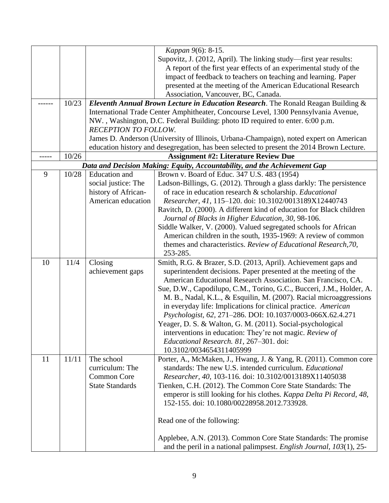|    |       |                        | Kappan 9(6): 8-15.                                                                        |  |  |  |
|----|-------|------------------------|-------------------------------------------------------------------------------------------|--|--|--|
|    |       |                        | Supovitz, J. (2012, April). The linking study—first year results:                         |  |  |  |
|    |       |                        | A report of the first year effects of an experimental study of the                        |  |  |  |
|    |       |                        | impact of feedback to teachers on teaching and learning. Paper                            |  |  |  |
|    |       |                        | presented at the meeting of the American Educational Research                             |  |  |  |
|    |       |                        | Association, Vancouver, BC, Canada.                                                       |  |  |  |
|    | 10/23 |                        | Eleventh Annual Brown Lecture in Education Research. The Ronald Reagan Building &         |  |  |  |
|    |       |                        | International Trade Center Amphitheater, Concourse Level, 1300 Pennsylvania Avenue,       |  |  |  |
|    |       |                        | NW., Washington, D.C. Federal Building: photo ID required to enter. 6:00 p.m.             |  |  |  |
|    |       | RECEPTION TO FOLLOW.   |                                                                                           |  |  |  |
|    |       |                        | James D. Anderson (University of Illinois, Urbana-Champaign), noted expert on American    |  |  |  |
|    |       |                        | education history and desegregation, has been selected to present the 2014 Brown Lecture. |  |  |  |
|    | 10/26 |                        | <b>Assignment #2: Literature Review Due</b>                                               |  |  |  |
|    |       |                        | Data and Decision Making: Equity, Accountability, and the Achievement Gap                 |  |  |  |
| 9  | 10/28 | <b>Education</b> and   | Brown v. Board of Educ. 347 U.S. 483 (1954)                                               |  |  |  |
|    |       | social justice: The    | Ladson-Billings, G. (2012). Through a glass darkly: The persistence                       |  |  |  |
|    |       | history of African-    | of race in education research & scholarship. Educational                                  |  |  |  |
|    |       | American education     | Researcher, 41, 115-120. doi: 10.3102/0013189X12440743                                    |  |  |  |
|    |       |                        | Ravitch, D. (2000). A different kind of education for Black children                      |  |  |  |
|    |       |                        | Journal of Blacks in Higher Education, 30, 98-106.                                        |  |  |  |
|    |       |                        | Siddle Walker, V. (2000). Valued segregated schools for African                           |  |  |  |
|    |       |                        | American children in the south, 1935-1969: A review of common                             |  |  |  |
|    |       |                        | themes and characteristics. Review of Educational Research, 70,                           |  |  |  |
|    |       |                        | 253-285.                                                                                  |  |  |  |
| 10 | 11/4  | Closing                | Smith, R.G. & Brazer, S.D. (2013, April). Achievement gaps and                            |  |  |  |
|    |       | achievement gaps       | superintendent decisions. Paper presented at the meeting of the                           |  |  |  |
|    |       |                        | American Educational Research Association. San Francisco, CA.                             |  |  |  |
|    |       |                        | Sue, D.W., Capodilupo, C.M., Torino, G.C., Bucceri, J.M., Holder, A.                      |  |  |  |
|    |       |                        | M. B., Nadal, K.L., & Esquilin, M. (2007). Racial microaggressions                        |  |  |  |
|    |       |                        | in everyday life: Implications for clinical practice. American                            |  |  |  |
|    |       |                        | Psychologist, 62, 271-286. DOI: 10.1037/0003-066X.62.4.271                                |  |  |  |
|    |       |                        | Yeager, D. S. & Walton, G. M. (2011). Social-psychological                                |  |  |  |
|    |       |                        | interventions in education: They're not magic. Review of                                  |  |  |  |
|    |       |                        | Educational Research. 81, 267-301. doi:                                                   |  |  |  |
|    |       |                        | 10.3102/0034654311405999                                                                  |  |  |  |
| 11 | 11/11 | The school             | Porter, A., McMaken, J., Hwang, J. & Yang, R. (2011). Common core                         |  |  |  |
|    |       | curriculum: The        | standards: The new U.S. intended curriculum. <i>Educational</i>                           |  |  |  |
|    |       | <b>Common Core</b>     | Researcher, 40, 103-116. doi: 10.3102/0013189X11405038                                    |  |  |  |
|    |       | <b>State Standards</b> | Tienken, C.H. (2012). The Common Core State Standards: The                                |  |  |  |
|    |       |                        | emperor is still looking for his clothes. Kappa Delta Pi Record, 48,                      |  |  |  |
|    |       |                        | 152-155. doi: 10.1080/00228958.2012.733928.                                               |  |  |  |
|    |       |                        |                                                                                           |  |  |  |
|    |       |                        | Read one of the following:                                                                |  |  |  |
|    |       |                        |                                                                                           |  |  |  |
|    |       |                        | Applebee, A.N. (2013). Common Core State Standards: The promise                           |  |  |  |
|    |       |                        | and the peril in a national palimpsest. English Journal, $103(1)$ , 25-                   |  |  |  |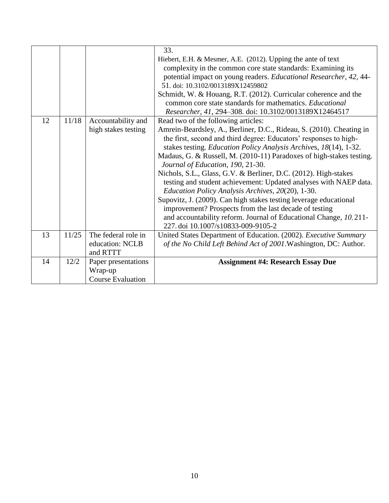|    |       |                          | 33.                                                                  |
|----|-------|--------------------------|----------------------------------------------------------------------|
|    |       |                          | Hiebert, E.H. & Mesmer, A.E. (2012). Upping the ante of text         |
|    |       |                          | complexity in the common core state standards: Examining its         |
|    |       |                          | potential impact on young readers. Educational Researcher, 42, 44-   |
|    |       |                          | 51. doi: 10.3102/0013189X12459802                                    |
|    |       |                          | Schmidt, W. & Houang, R.T. (2012). Curricular coherence and the      |
|    |       |                          | common core state standards for mathematics. Educational             |
|    |       |                          | Researcher, 41, 294-308. doi: 10.3102/0013189X12464517               |
| 12 | 11/18 | Accountability and       | Read two of the following articles:                                  |
|    |       | high stakes testing      | Amrein-Beardsley, A., Berliner, D.C., Rideau, S. (2010). Cheating in |
|    |       |                          | the first, second and third degree: Educators' responses to high-    |
|    |       |                          | stakes testing. Education Policy Analysis Archives, 18(14), 1-32.    |
|    |       |                          | Madaus, G. & Russell, M. (2010-11) Paradoxes of high-stakes testing. |
|    |       |                          | Journal of Education, 190, 21-30.                                    |
|    |       |                          | Nichols, S.L., Glass, G.V. & Berliner, D.C. (2012). High-stakes      |
|    |       |                          | testing and student achievement: Updated analyses with NAEP data.    |
|    |       |                          | Education Policy Analysis Archives, 20(20), 1-30.                    |
|    |       |                          | Supovitz, J. (2009). Can high stakes testing leverage educational    |
|    |       |                          | improvement? Prospects from the last decade of testing               |
|    |       |                          | and accountability reform. Journal of Educational Change, 10, 211-   |
|    |       |                          | 227. doi 10.1007/s10833-009-9105-2                                   |
| 13 | 11/25 | The federal role in      | United States Department of Education. (2002). Executive Summary     |
|    |       | education: NCLB          | of the No Child Left Behind Act of 2001. Washington, DC: Author.     |
|    |       | and RTTT                 |                                                                      |
| 14 | 12/2  | Paper presentations      | <b>Assignment #4: Research Essay Due</b>                             |
|    |       | Wrap-up                  |                                                                      |
|    |       | <b>Course Evaluation</b> |                                                                      |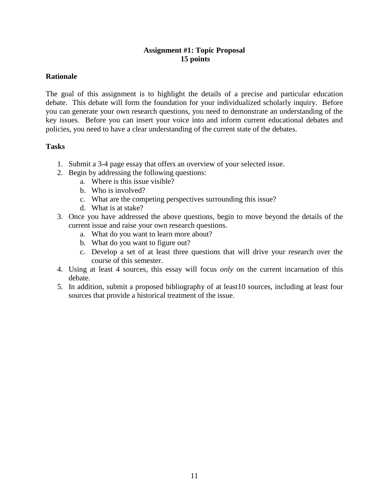## **Assignment #1: Topic Proposal 15 points**

### **Rationale**

The goal of this assignment is to highlight the details of a precise and particular education debate. This debate will form the foundation for your individualized scholarly inquiry. Before you can generate your own research questions, you need to demonstrate an understanding of the key issues. Before you can insert your voice into and inform current educational debates and policies, you need to have a clear understanding of the current state of the debates.

### **Tasks**

- 1. Submit a 3-4 page essay that offers an overview of your selected issue.
- 2. Begin by addressing the following questions:
	- a. Where is this issue visible?
	- b. Who is involved?
	- c. What are the competing perspectives surrounding this issue?
	- d. What is at stake?
- 3. Once you have addressed the above questions, begin to move beyond the details of the current issue and raise your own research questions.
	- a. What do you want to learn more about?
	- b. What do you want to figure out?
	- c. Develop a set of at least three questions that will drive your research over the course of this semester.
- 4. Using at least 4 sources, this essay will focus *only* on the current incarnation of this debate.
- 5. In addition, submit a proposed bibliography of at least10 sources, including at least four sources that provide a historical treatment of the issue.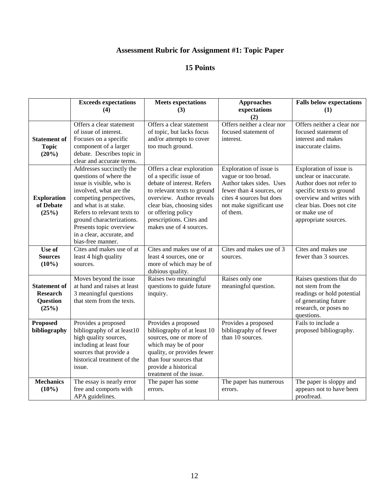# **Assessment Rubric for Assignment #1: Topic Paper**

|                                                                    | <b>Exceeds expectations</b><br>(4)                                                                                                                                                                                                                                                                    | <b>Meets expectations</b><br>(3)                                                                                                                                                                                                                         | <b>Approaches</b><br>expectations                                                                                                                                          | <b>Falls below expectations</b><br>(1)                                                                                                                                                                       |
|--------------------------------------------------------------------|-------------------------------------------------------------------------------------------------------------------------------------------------------------------------------------------------------------------------------------------------------------------------------------------------------|----------------------------------------------------------------------------------------------------------------------------------------------------------------------------------------------------------------------------------------------------------|----------------------------------------------------------------------------------------------------------------------------------------------------------------------------|--------------------------------------------------------------------------------------------------------------------------------------------------------------------------------------------------------------|
|                                                                    |                                                                                                                                                                                                                                                                                                       |                                                                                                                                                                                                                                                          | (2)                                                                                                                                                                        |                                                                                                                                                                                                              |
| <b>Statement of</b><br><b>Topic</b><br>(20%)                       | Offers a clear statement<br>of issue of interest.<br>Focuses on a specific<br>component of a larger<br>debate. Describes topic in<br>clear and accurate terms.                                                                                                                                        | Offers a clear statement<br>of topic, but lacks focus<br>and/or attempts to cover<br>too much ground.                                                                                                                                                    | Offers neither a clear nor<br>focused statement of<br>interest.                                                                                                            | Offers neither a clear nor<br>focused statement of<br>interest and makes<br>inaccurate claims.                                                                                                               |
| <b>Exploration</b><br>of Debate<br>(25%)                           | Addresses succinctly the<br>questions of where the<br>issue is visible, who is<br>involved, what are the<br>competing perspectives,<br>and what is at stake.<br>Refers to relevant texts to<br>ground characterizations.<br>Presents topic overview<br>in a clear, accurate, and<br>bias-free manner. | Offers a clear exploration<br>of a specific issue of<br>debate of interest. Refers<br>to relevant texts to ground<br>overview. Author reveals<br>clear bias, choosing sides<br>or offering policy<br>prescriptions. Cites and<br>makes use of 4 sources. | Exploration of issue is<br>vague or too broad.<br>Author takes sides. Uses<br>fewer than 4 sources, or<br>cites 4 sources but does<br>not make significant use<br>of them. | Exploration of issue is<br>unclear or inaccurate.<br>Author does not refer to<br>specific texts to ground<br>overview and writes with<br>clear bias. Does not cite<br>or make use of<br>appropriate sources. |
| Use of<br><b>Sources</b><br>$(10\%)$                               | Cites and makes use of at<br>least 4 high quality<br>sources.                                                                                                                                                                                                                                         | Cites and makes use of at<br>least 4 sources, one or<br>more of which may be of<br>dubious quality.                                                                                                                                                      | Cites and makes use of 3<br>sources.                                                                                                                                       | Cites and makes use<br>fewer than 3 sources.                                                                                                                                                                 |
| <b>Statement of</b><br><b>Research</b><br><b>Question</b><br>(25%) | Moves beyond the issue<br>at hand and raises at least<br>3 meaningful questions<br>that stem from the texts.                                                                                                                                                                                          | Raises two meaningful<br>questions to guide future<br>inquiry.                                                                                                                                                                                           | Raises only one<br>meaningful question.                                                                                                                                    | Raises questions that do<br>not stem from the<br>readings or hold potential<br>of generating future<br>research, or poses no<br>questions.                                                                   |
| <b>Proposed</b><br>bibliography                                    | Provides a proposed<br>bibliography of at least10<br>high quality sources,<br>including at least four<br>sources that provide a<br>historical treatment of the<br>issue.                                                                                                                              | Provides a proposed<br>bibliography of at least 10<br>sources, one or more of<br>which may be of poor<br>quality, or provides fewer<br>than four sources that<br>provide a historical<br>treatment of the issue.                                         | Provides a proposed<br>bibliography of fewer<br>than 10 sources.                                                                                                           | Fails to include a<br>proposed bibliography.                                                                                                                                                                 |
| <b>Mechanics</b><br>$(10\%)$                                       | The essay is nearly error<br>free and comports with<br>APA guidelines.                                                                                                                                                                                                                                | The paper has some<br>errors.                                                                                                                                                                                                                            | The paper has numerous<br>errors.                                                                                                                                          | The paper is sloppy and<br>appears not to have been<br>proofread.                                                                                                                                            |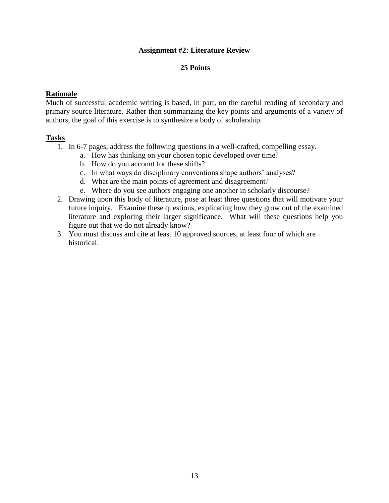### **Assignment #2: Literature Review**

### **25 Points**

### **Rationale**

Much of successful academic writing is based, in part, on the careful reading of secondary and primary source literature. Rather than summarizing the key points and arguments of a variety of authors, the goal of this exercise is to synthesize a body of scholarship.

### **Tasks**

- 1. In 6-7 pages, address the following questions in a well-crafted, compelling essay.
	- a. How has thinking on your chosen topic developed over time?
	- b. How do you account for these shifts?
	- c. In what ways do disciplinary conventions shape authors' analyses?
	- d. What are the main points of agreement and disagreement?
	- e. Where do you see authors engaging one another in scholarly discourse?
- 2. Drawing upon this body of literature, pose at least three questions that will motivate your future inquiry. Examine these questions, explicating how they grow out of the examined literature and exploring their larger significance. What will these questions help you figure out that we do not already know?
- 3. You must discuss and cite at least 10 approved sources, at least four of which are historical.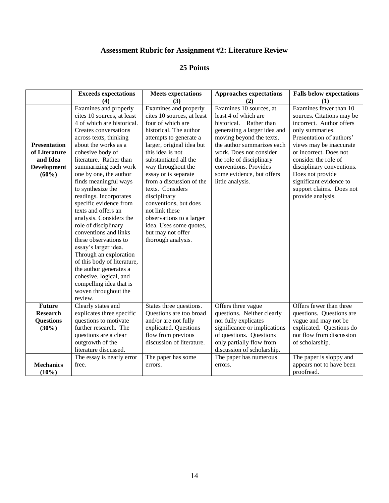## **Assessment Rubric for Assignment #2: Literature Review**

|                                                                                    | <b>Exceeds expectations</b>                                                                                                                                                                                                                                                                                                                                                                                                                                                                                                                                                                                                                                                                     | <b>Meets expectations</b>                                                                                                                                                                                                                                                                                                                                                                                                                                         | <b>Approaches expectations</b>                                                                                                                                                                                                                                                                        | <b>Falls below expectations</b>                                                                                                                                                                                                                                                                                                          |
|------------------------------------------------------------------------------------|-------------------------------------------------------------------------------------------------------------------------------------------------------------------------------------------------------------------------------------------------------------------------------------------------------------------------------------------------------------------------------------------------------------------------------------------------------------------------------------------------------------------------------------------------------------------------------------------------------------------------------------------------------------------------------------------------|-------------------------------------------------------------------------------------------------------------------------------------------------------------------------------------------------------------------------------------------------------------------------------------------------------------------------------------------------------------------------------------------------------------------------------------------------------------------|-------------------------------------------------------------------------------------------------------------------------------------------------------------------------------------------------------------------------------------------------------------------------------------------------------|------------------------------------------------------------------------------------------------------------------------------------------------------------------------------------------------------------------------------------------------------------------------------------------------------------------------------------------|
|                                                                                    | (4)                                                                                                                                                                                                                                                                                                                                                                                                                                                                                                                                                                                                                                                                                             | (3)                                                                                                                                                                                                                                                                                                                                                                                                                                                               | (2)                                                                                                                                                                                                                                                                                                   | (1)                                                                                                                                                                                                                                                                                                                                      |
| <b>Presentation</b><br>of Literature<br>and Idea<br><b>Development</b><br>$(60\%)$ | Examines and properly<br>cites 10 sources, at least<br>4 of which are historical.<br>Creates conversations<br>across texts, thinking<br>about the works as a<br>cohesive body of<br>literature. Rather than<br>summarizing each work<br>one by one, the author<br>finds meaningful ways<br>to synthesize the<br>readings. Incorporates<br>specific evidence from<br>texts and offers an<br>analysis. Considers the<br>role of disciplinary<br>conventions and links<br>these observations to<br>essay's larger idea.<br>Through an exploration<br>of this body of literature,<br>the author generates a<br>cohesive, logical, and<br>compelling idea that is<br>woven throughout the<br>review. | Examines and properly<br>cites 10 sources, at least<br>four of which are<br>historical. The author<br>attempts to generate a<br>larger, original idea but<br>this idea is not<br>substantiated all the<br>way throughout the<br>essay or is separate<br>from a discussion of the<br>texts. Considers<br>disciplinary<br>conventions, but does<br>not link these<br>observations to a larger<br>idea. Uses some quotes,<br>but may not offer<br>thorough analysis. | Examines 10 sources, at<br>least 4 of which are<br>historical. Rather than<br>generating a larger idea and<br>moving beyond the texts,<br>the author summarizes each<br>work. Does not consider<br>the role of disciplinary<br>conventions. Provides<br>some evidence, but offers<br>little analysis. | Examines fewer than 10<br>sources. Citations may be<br>incorrect. Author offers<br>only summaries.<br>Presentation of authors'<br>views may be inaccurate<br>or incorrect. Does not<br>consider the role of<br>disciplinary conventions.<br>Does not provide<br>significant evidence to<br>support claims. Does not<br>provide analysis. |
| <b>Future</b><br><b>Research</b><br><b>Questions</b><br>$(30\%)$                   | Clearly states and<br>explicates three specific<br>questions to motivate<br>further research. The<br>questions are a clear<br>outgrowth of the<br>literature discussed.                                                                                                                                                                                                                                                                                                                                                                                                                                                                                                                         | States three questions.<br>Questions are too broad<br>and/or are not fully<br>explicated. Questions<br>flow from previous<br>discussion of literature.                                                                                                                                                                                                                                                                                                            | Offers three vague<br>questions. Neither clearly<br>nor fully explicates<br>significance or implications<br>of questions. Questions<br>only partially flow from<br>discussion of scholarship.                                                                                                         | Offers fewer than three<br>questions. Questions are<br>vague and may not be<br>explicated. Questions do<br>not flow from discussion<br>of scholarship.                                                                                                                                                                                   |
| <b>Mechanics</b><br>$(10\%)$                                                       | The essay is nearly error<br>free.                                                                                                                                                                                                                                                                                                                                                                                                                                                                                                                                                                                                                                                              | The paper has some<br>errors.                                                                                                                                                                                                                                                                                                                                                                                                                                     | The paper has numerous<br>errors.                                                                                                                                                                                                                                                                     | The paper is sloppy and<br>appears not to have been<br>proofread.                                                                                                                                                                                                                                                                        |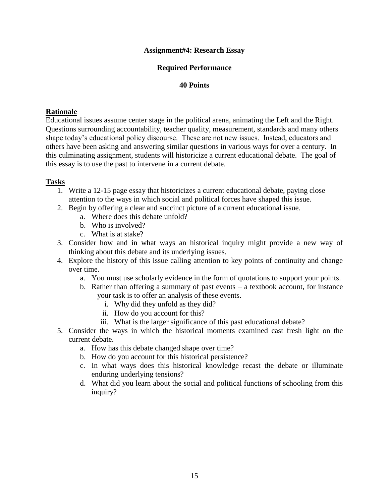### **Assignment#4: Research Essay**

### **Required Performance**

### **40 Points**

### **Rationale**

Educational issues assume center stage in the political arena, animating the Left and the Right. Questions surrounding accountability, teacher quality, measurement, standards and many others shape today's educational policy discourse. These are not new issues. Instead, educators and others have been asking and answering similar questions in various ways for over a century. In this culminating assignment, students will historicize a current educational debate. The goal of this essay is to use the past to intervene in a current debate.

### **Tasks**

- 1. Write a 12-15 page essay that historicizes a current educational debate, paying close attention to the ways in which social and political forces have shaped this issue.
- 2. Begin by offering a clear and succinct picture of a current educational issue.
	- a. Where does this debate unfold?
	- b. Who is involved?
	- c. What is at stake?
- 3. Consider how and in what ways an historical inquiry might provide a new way of thinking about this debate and its underlying issues.
- 4. Explore the history of this issue calling attention to key points of continuity and change over time.
	- a. You must use scholarly evidence in the form of quotations to support your points.
	- b. Rather than offering a summary of past events a textbook account, for instance – your task is to offer an analysis of these events.
		- i. Why did they unfold as they did?
		- ii. How do you account for this?
		- iii. What is the larger significance of this past educational debate?
- 5. Consider the ways in which the historical moments examined cast fresh light on the current debate.
	- a. How has this debate changed shape over time?
	- b. How do you account for this historical persistence?
	- c. In what ways does this historical knowledge recast the debate or illuminate enduring underlying tensions?
	- d. What did you learn about the social and political functions of schooling from this inquiry?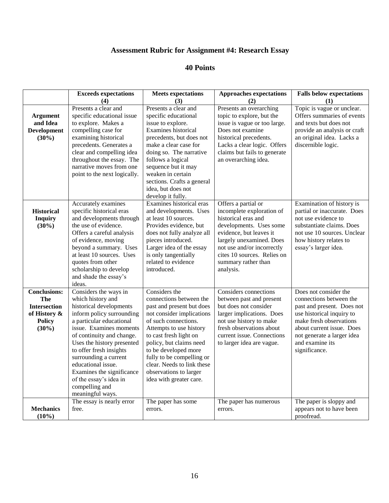## **Assessment Rubric for Assignment #4: Research Essay**

|                                                                                                       | <b>Exceeds expectations</b>                                                                                                                                                                                                                                                                                                                                                                 | <b>Meets expectations</b>                                                                                                                                                                                                                                                                                                                          | <b>Approaches expectations</b>                                                                                                                                                                                                                             | <b>Falls below expectations</b>                                                                                                                                                                                                       |
|-------------------------------------------------------------------------------------------------------|---------------------------------------------------------------------------------------------------------------------------------------------------------------------------------------------------------------------------------------------------------------------------------------------------------------------------------------------------------------------------------------------|----------------------------------------------------------------------------------------------------------------------------------------------------------------------------------------------------------------------------------------------------------------------------------------------------------------------------------------------------|------------------------------------------------------------------------------------------------------------------------------------------------------------------------------------------------------------------------------------------------------------|---------------------------------------------------------------------------------------------------------------------------------------------------------------------------------------------------------------------------------------|
| <b>Argument</b><br>and Idea<br><b>Development</b><br>$(30\%)$                                         | (4)<br>Presents a clear and<br>specific educational issue<br>to explore. Makes a<br>compelling case for<br>examining historical<br>precedents. Generates a<br>clear and compelling idea<br>throughout the essay. The<br>narrative moves from one<br>point to the next logically.                                                                                                            | (3)<br>Presents a clear and<br>specific educational<br>issue to explore.<br>Examines historical<br>precedents, but does not<br>make a clear case for<br>doing so. The narrative<br>follows a logical<br>sequence but it may<br>weaken in certain<br>sections. Crafts a general<br>idea, but does not<br>develop it fully.                          | (2)<br>Presents an overarching<br>topic to explore, but the<br>issue is vague or too large.<br>Does not examine<br>historical precedents.<br>Lacks a clear logic. Offers<br>claims but fails to generate<br>an overarching idea.                           | (1)<br>Topic is vague or unclear.<br>Offers summaries of events<br>and texts but does not<br>provide an analysis or craft<br>an original idea. Lacks a<br>discernible logic.                                                          |
| <b>Historical</b><br><b>Inquiry</b><br>$(30\%)$                                                       | Accurately examines<br>specific historical eras<br>and developments through<br>the use of evidence.<br>Offers a careful analysis<br>of evidence, moving<br>beyond a summary. Uses<br>at least 10 sources. Uses<br>quotes from other<br>scholarship to develop<br>and shade the essay's<br>ideas.                                                                                            | Examines historical eras<br>and developments. Uses<br>at least 10 sources.<br>Provides evidence, but<br>does not fully analyze all<br>pieces introduced.<br>Larger idea of the essay<br>is only tangentially<br>related to evidence<br>introduced.                                                                                                 | Offers a partial or<br>incomplete exploration of<br>historical eras and<br>developments. Uses some<br>evidence, but leaves it<br>largely unexamined. Does<br>not use and/or incorrectly<br>cites 10 sources. Relies on<br>summary rather than<br>analysis. | Examination of history is<br>partial or inaccurate. Does<br>not use evidence to<br>substantiate claims. Does<br>not use 10 sources. Unclear<br>how history relates to<br>essay's larger idea.                                         |
| <b>Conclusions:</b><br><b>The</b><br><b>Intersection</b><br>of History &<br><b>Policy</b><br>$(30\%)$ | Considers the ways in<br>which history and<br>historical developments<br>inform policy surrounding<br>a particular educational<br>issue. Examines moments<br>of continuity and change.<br>Uses the history presented<br>to offer fresh insights<br>surrounding a current<br>educational issue.<br>Examines the significance<br>of the essay's idea in<br>compelling and<br>meaningful ways. | Considers the<br>connections between the<br>past and present but does<br>not consider implications<br>of such connections.<br>Attempts to use history<br>to cast fresh light on<br>policy, but claims need<br>to be developed more<br>fully to be compelling or<br>clear. Needs to link these<br>observations to larger<br>idea with greater care. | <b>Considers</b> connections<br>between past and present<br>but does not consider<br>larger implications. Does<br>not use history to make<br>fresh observations about<br>current issue. Connections<br>to larger idea are vague.                           | Does not consider the<br>connections between the<br>past and present. Does not<br>use historical inquiry to<br>make fresh observations<br>about current issue. Does<br>not generate a larger idea<br>and examine its<br>significance. |
| <b>Mechanics</b><br>$(10\%)$                                                                          | The essay is nearly error<br>free.                                                                                                                                                                                                                                                                                                                                                          | The paper has some<br>errors.                                                                                                                                                                                                                                                                                                                      | The paper has numerous<br>errors.                                                                                                                                                                                                                          | The paper is sloppy and<br>appears not to have been<br>proofread.                                                                                                                                                                     |